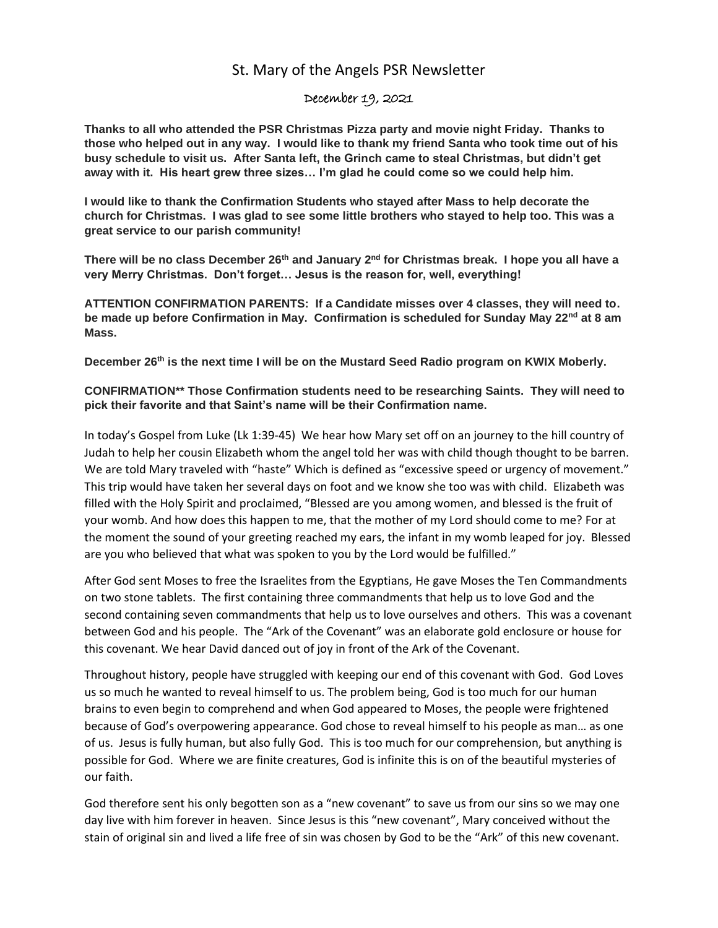## St. Mary of the Angels PSR Newsletter

## December 19, 2021

**Thanks to all who attended the PSR Christmas Pizza party and movie night Friday. Thanks to those who helped out in any way. I would like to thank my friend Santa who took time out of his busy schedule to visit us. After Santa left, the Grinch came to steal Christmas, but didn't get away with it. His heart grew three sizes… I'm glad he could come so we could help him.** 

**I would like to thank the Confirmation Students who stayed after Mass to help decorate the church for Christmas. I was glad to see some little brothers who stayed to help too. This was a great service to our parish community!**

**There will be no class December 26th and January 2nd for Christmas break. I hope you all have a very Merry Christmas. Don't forget… Jesus is the reason for, well, everything!**

**ATTENTION CONFIRMATION PARENTS: If a Candidate misses over 4 classes, they will need to. be made up before Confirmation in May. Confirmation is scheduled for Sunday May 22nd at 8 am Mass.** 

**December 26th is the next time I will be on the Mustard Seed Radio program on KWIX Moberly.**

**CONFIRMATION\*\* Those Confirmation students need to be researching Saints. They will need to pick their favorite and that Saint's name will be their Confirmation name.**

In today's Gospel from Luke (Lk 1:39-45) We hear how Mary set off on an journey to the hill country of Judah to help her cousin Elizabeth whom the angel told her was with child though thought to be barren. We are told Mary traveled with "haste" Which is defined as "excessive speed or urgency of movement." This trip would have taken her several days on foot and we know she too was with child. Elizabeth was filled with the Holy Spirit and proclaimed, "Blessed are you among women, and blessed is the fruit of your womb. And how does this happen to me, that the mother of my Lord should come to me? For at the moment the sound of your greeting reached my ears, the infant in my womb leaped for joy. Blessed are you who believed that what was spoken to you by the Lord would be fulfilled."

After God sent Moses to free the Israelites from the Egyptians, He gave Moses the Ten Commandments on two stone tablets. The first containing three commandments that help us to love God and the second containing seven commandments that help us to love ourselves and others. This was a covenant between God and his people. The "Ark of the Covenant" was an elaborate gold enclosure or house for this covenant. We hear David danced out of joy in front of the Ark of the Covenant.

Throughout history, people have struggled with keeping our end of this covenant with God. God Loves us so much he wanted to reveal himself to us. The problem being, God is too much for our human brains to even begin to comprehend and when God appeared to Moses, the people were frightened because of God's overpowering appearance. God chose to reveal himself to his people as man… as one of us. Jesus is fully human, but also fully God. This is too much for our comprehension, but anything is possible for God. Where we are finite creatures, God is infinite this is on of the beautiful mysteries of our faith.

God therefore sent his only begotten son as a "new covenant" to save us from our sins so we may one day live with him forever in heaven. Since Jesus is this "new covenant", Mary conceived without the stain of original sin and lived a life free of sin was chosen by God to be the "Ark" of this new covenant.